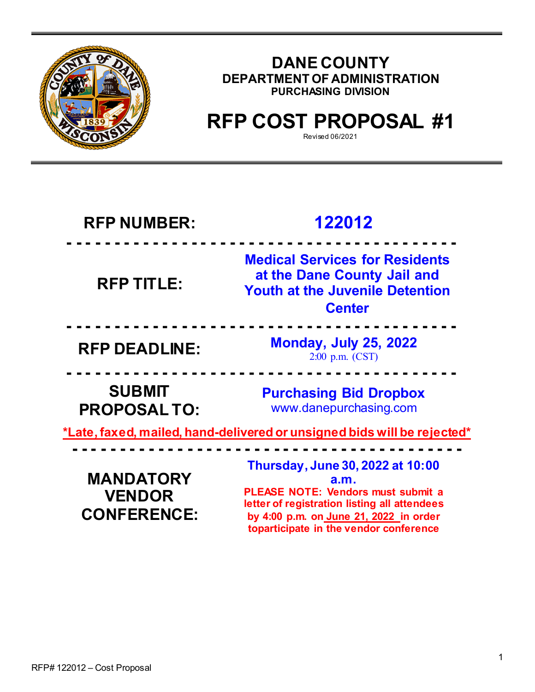

## **DANE COUNTY DEPARTMENT OF ADMINISTRATION PURCHASING DIVISION**

# **RFP COST PROPOSAL #1**

Revised 06/2021

**toparticipate in the vendor conference**

| <b>RFP NUMBER:</b>                                                             | 122012                                                                                                                                                                          |  |  |
|--------------------------------------------------------------------------------|---------------------------------------------------------------------------------------------------------------------------------------------------------------------------------|--|--|
| <b>RFP TITLE:</b>                                                              | <b>Medical Services for Residents</b><br>at the Dane County Jail and<br><b>Youth at the Juvenile Detention</b><br><b>Center</b>                                                 |  |  |
| <b>RFP DEADLINE:</b>                                                           | <b>Monday, July 25, 2022</b><br>2:00 p.m. (CST)                                                                                                                                 |  |  |
| <b>SUBMIT</b><br><b>PROPOSALTO:</b>                                            | <b>Purchasing Bid Dropbox</b><br>www.danepurchasing.com                                                                                                                         |  |  |
| <u>*Late, faxed, mailed, hand-delivered or unsigned bids will be rejected*</u> |                                                                                                                                                                                 |  |  |
| <b>MANDATORY</b><br><b>VENDOR</b><br><b>CONFERENCE:</b>                        | Thursday, June 30, 2022 at 10:00<br><b>a.m.</b><br>PLEASE NOTE: Vendors must submit a<br>letter of registration listing all attendees<br>by 4:00 p.m. on June 21, 2022 in order |  |  |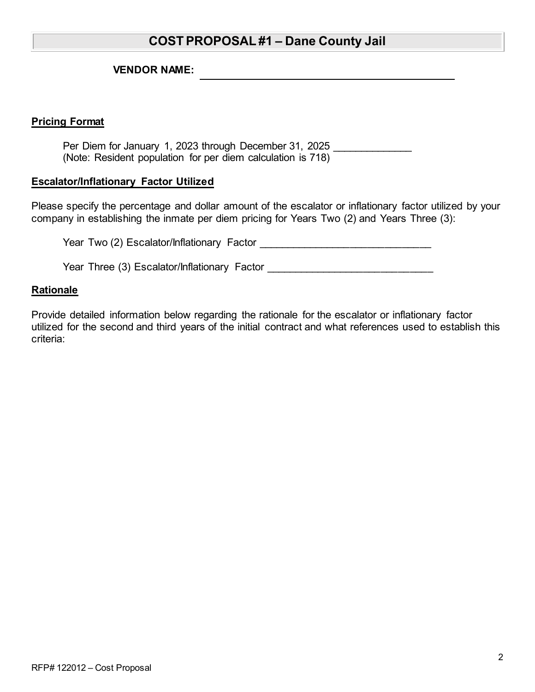## **COST PROPOSAL #1 – Dane County Jail**

**VENDOR NAME:**

#### **Pricing Format**

Per Diem for January 1, 2023 through December 31, 2025 (Note: Resident population for per diem calculation is 718)

#### **Escalator/Inflationary Factor Utilized**

Please specify the percentage and dollar amount of the escalator or inflationary factor utilized by your company in establishing the inmate per diem pricing for Years Two (2) and Years Three (3):

Year Two (2) Escalator/Inflationary Factor \_\_\_\_\_\_\_\_\_\_\_\_\_\_\_\_\_\_\_\_\_\_\_\_\_\_\_\_\_\_

Year Three (3) Escalator/Inflationary Factor

#### **Rationale**

Provide detailed information below regarding the rationale for the escalator or inflationary factor utilized for the second and third years of the initial contract and what references used to establish this criteria: